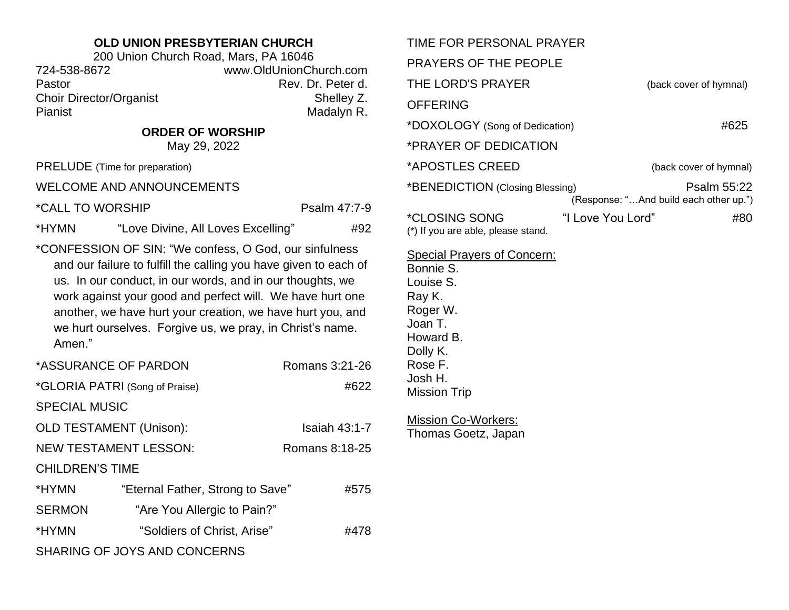## **OLD UNION PRESBYTERIAN CHURCH**

| 200 Union Church Road, Mars, PA 16046 |                        |  |  |
|---------------------------------------|------------------------|--|--|
| 724-538-8672                          | www.OldUnionChurch.com |  |  |
| Pastor                                | Rev. Dr. Peter d.      |  |  |
| <b>Choir Director/Organist</b>        | Shelley Z.             |  |  |
| <b>Pianist</b>                        | Madalyn R.             |  |  |

**ORDER OF WORSHIP**

May 29, 2022

PRELUDE (Time for preparation)

WELCOME AND ANNOUNCEMENTS

\*CALL TO WORSHIP PSalm 47:7-9

\*HYMN "Love Divine, All Loves Excelling" #92

\*CONFESSION OF SIN: "We confess, O God, our sinfulness and our failure to fulfill the calling you have given to each of us. In our conduct, in our words, and in our thoughts, we work against your good and perfect will. We have hurt one another, we have hurt your creation, we have hurt you, and we hurt ourselves. Forgive us, we pray, in Christ's name. Amen."

| *ASSURANCE OF PARDON           |                                  | Romans 3:21-26 |
|--------------------------------|----------------------------------|----------------|
| *GLORIA PATRI (Song of Praise) |                                  | #622           |
| <b>SPECIAL MUSIC</b>           |                                  |                |
| <b>OLD TESTAMENT (Unison):</b> |                                  | Isaiah 43:1-7  |
| <b>NEW TESTAMENT LESSON:</b>   |                                  | Romans 8:18-25 |
| <b>CHILDREN'S TIME</b>         |                                  |                |
| *HYMN                          | "Eternal Father, Strong to Save" | #575           |
| <b>SERMON</b>                  | "Are You Allergic to Pain?"      |                |
| *HYMN                          | "Soldiers of Christ, Arise"      | #478           |
| SHARING OF JOYS AND CONCERNS   |                                  |                |

| TIME FOR PERSONAL PRAYER                                   |                   |                                                       |
|------------------------------------------------------------|-------------------|-------------------------------------------------------|
| PRAYERS OF THE PEOPLE                                      |                   |                                                       |
| THE LORD'S PRAYER                                          |                   | (back cover of hymnal)                                |
| <b>OFFERING</b>                                            |                   |                                                       |
| *DOXOLOGY (Song of Dedication)                             |                   | #625                                                  |
| *PRAYER OF DEDICATION                                      |                   |                                                       |
| *APOSTLES CREED                                            |                   | (back cover of hymnal)                                |
| *BENEDICTION (Closing Blessing)                            |                   | Psalm 55:22<br>(Response: "And build each other up.") |
| <i>*CLOSING SONG</i><br>(*) If you are able, please stand. | "I Love You Lord" | #80                                                   |
|                                                            |                   |                                                       |

Special Prayers of Concern:

Bonnie S. Louise S. Ray K. Roger W. Joan T. Howard B. Dolly K. Rose F. Josh H. Mission Trip

Mission Co-Workers: Thomas Goetz, Japan